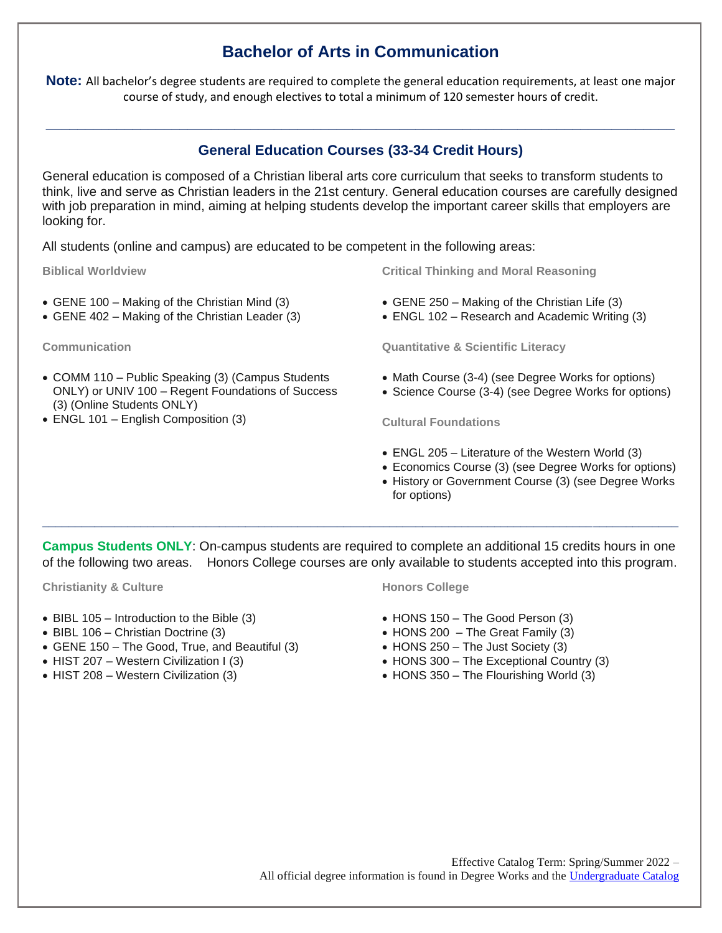# **Bachelor of Arts in Communication**

**Note:** All bachelor's degree students are required to complete the general education requirements, at least one major course of study, and enough electives to total a minimum of 120 semester hours of credit.

## **General Education Courses (33-34 Credit Hours)**

**\_\_\_\_\_\_\_\_\_\_\_\_\_\_\_\_\_\_\_\_\_\_\_\_\_\_\_\_\_\_\_\_\_\_\_\_\_\_\_\_\_\_\_\_\_\_\_\_\_\_\_\_\_\_\_\_\_\_\_\_\_\_\_\_\_\_\_\_\_\_\_\_\_\_\_\_\_\_\_\_**

General education is composed of a Christian liberal arts core curriculum that seeks to transform students to think, live and serve as Christian leaders in the 21st century. General education courses are carefully designed with job preparation in mind, aiming at helping students develop the important career skills that employers are looking for.

All students (online and campus) are educated to be competent in the following areas:

**Biblical Worldview**

- GENE 100 Making of the Christian Mind (3)
- GENE 402 Making of the Christian Leader (3)

**Communication**

- COMM 110 Public Speaking (3) (Campus Students ONLY) or UNIV 100 – Regent Foundations of Success (3) (Online Students ONLY)
- ENGL 101 English Composition (3)

**Critical Thinking and Moral Reasoning**

- GENE 250 Making of the Christian Life (3)
- ENGL 102 Research and Academic Writing (3)

**Quantitative & Scientific Literacy**

- Math Course (3-4) (see Degree Works for options)
- Science Course (3-4) (see Degree Works for options)

**Cultural Foundations**

- ENGL 205 Literature of the Western World (3)
- Economics Course (3) (see Degree Works for options)
- History or Government Course (3) (see Degree Works for options)

**Campus Students ONLY**: On-campus students are required to complete an additional 15 credits hours in one of the following two areas. Honors College courses are only available to students accepted into this program.

**\_\_\_\_\_\_\_\_\_\_\_\_\_\_\_\_\_\_\_\_\_\_\_\_\_\_\_\_\_\_\_\_\_\_\_\_\_\_\_\_\_\_\_\_\_\_\_\_\_\_\_\_\_\_\_\_\_\_\_\_\_\_\_\_\_\_\_\_\_\_\_\_\_\_\_\_\_\_\_\_\_\_\_\_\_\_\_\_\_\_\_\_\_\_\_\_\_**

**Christianity & Culture**

- BIBL 105 Introduction to the Bible (3)
- BIBL 106 Christian Doctrine (3)
- GENE 150 The Good, True, and Beautiful (3)
- HIST 207 Western Civilization I (3)
- HIST 208 Western Civilization (3)

#### **Honors College**

- HONS 150 The Good Person (3)
- $\bullet$  HONS 200 The Great Family (3)
- HONS 250 The Just Society (3)
- HONS 300 The Exceptional Country (3)
- HONS 350 The Flourishing World (3)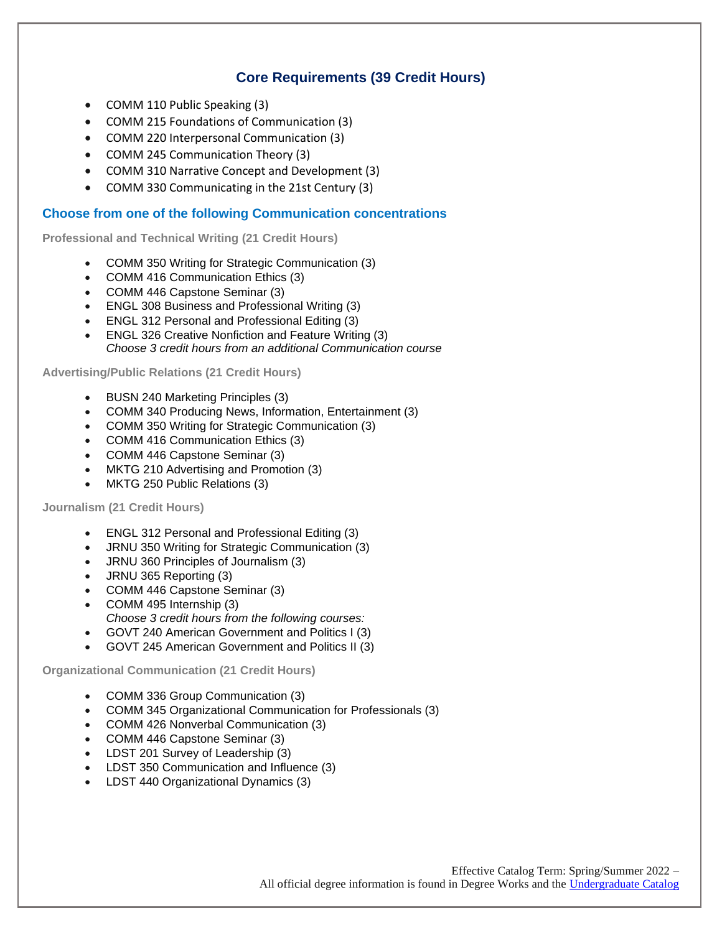## **Core Requirements (39 Credit Hours)**

- COMM 110 Public Speaking (3)
- COMM 215 Foundations of Communication (3)
- COMM 220 Interpersonal Communication (3)
- COMM 245 Communication Theory (3)
- COMM 310 Narrative Concept and Development (3)
- COMM 330 Communicating in the 21st Century (3)

### **Choose from one of the following Communication concentrations**

**Professional and Technical Writing (21 Credit Hours)**

- COMM 350 Writing for Strategic Communication (3)
- COMM 416 Communication Ethics (3)
- COMM 446 Capstone Seminar (3)
- ENGL 308 Business and Professional Writing (3)
- ENGL 312 Personal and Professional Editing (3)
- ENGL 326 Creative Nonfiction and Feature Writing (3) *Choose 3 credit hours from an additional Communication course*

**Advertising/Public Relations (21 Credit Hours)**

- BUSN 240 Marketing Principles (3)
- COMM 340 Producing News, Information, Entertainment (3)
- COMM 350 Writing for Strategic Communication (3)
- COMM 416 Communication Ethics (3)
- COMM 446 Capstone Seminar (3)
- MKTG 210 Advertising and Promotion (3)
- MKTG 250 Public Relations (3)

**Journalism (21 Credit Hours)**

- ENGL 312 Personal and Professional Editing (3)
- JRNU 350 Writing for Strategic Communication (3)
- JRNU 360 Principles of Journalism (3)
- JRNU 365 Reporting (3)
- COMM 446 Capstone Seminar (3)
- COMM 495 Internship (3) *Choose 3 credit hours from the following courses:*
- GOVT 240 American Government and Politics I (3)
- GOVT 245 American Government and Politics II (3)

**Organizational Communication (21 Credit Hours)**

- COMM 336 Group Communication (3)
- COMM 345 Organizational Communication for Professionals (3)
- COMM 426 Nonverbal Communication (3)
- COMM 446 Capstone Seminar (3)
- LDST 201 Survey of Leadership (3)
- LDST 350 Communication and Influence (3)
- LDST 440 Organizational Dynamics (3)